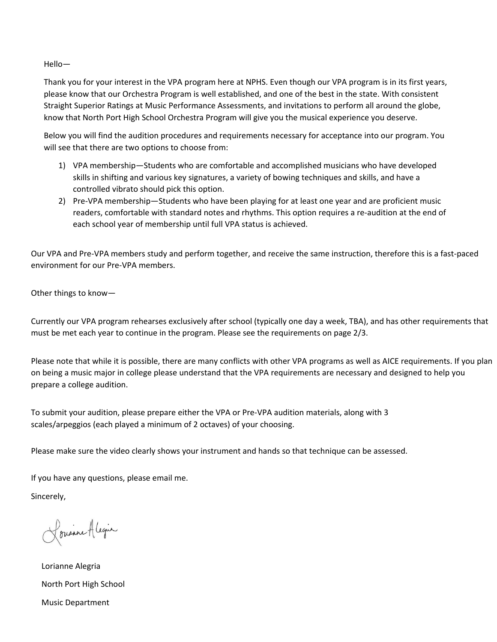Hello—

Thank you for your interest in the VPA program here at NPHS. Even though our VPA program is in its first years, please know that our Orchestra Program is well established, and one of the best in the state. With consistent Straight Superior Ratings at Music Performance Assessments, and invitations to perform all around the globe, know that North Port High School Orchestra Program will give you the musical experience you deserve.

Below you will find the audition procedures and requirements necessary for acceptance into our program. You will see that there are two options to choose from:

- 1) VPA membership—Students who are comfortable and accomplished musicians who have developed skills in shifting and various key signatures, a variety of bowing techniques and skills, and have a controlled vibrato should pick this option.
- 2) Pre-VPA membership—Students who have been playing for at least one year and are proficient music readers, comfortable with standard notes and rhythms. This option requires a re-audition at the end of each school year of membership until full VPA status is achieved.

Our VPA and Pre-VPA members study and perform together, and receive the same instruction, therefore this is a fast-paced environment for our Pre-VPA members.

Other things to know—

Currently our VPA program rehearses exclusively after school (typically one day a week, TBA), and has other requirements that must be met each year to continue in the program. Please see the requirements on page 2/3.

Please note that while it is possible, there are many conflicts with other VPA programs as well as AICE requirements. If you plan on being a music major in college please understand that the VPA requirements are necessary and designed to help you prepare a college audition.

To submit your audition, please prepare either the VPA or Pre-VPA audition materials, along with 3 scales/arpeggios (each played a minimum of 2 octaves) of your choosing.

Please make sure the video clearly shows your instrument and hands so that technique can be assessed.

If you have any questions, please email me.

Sincerely,

Lousine Alegia

Lorianne Alegria North Port High School Music Department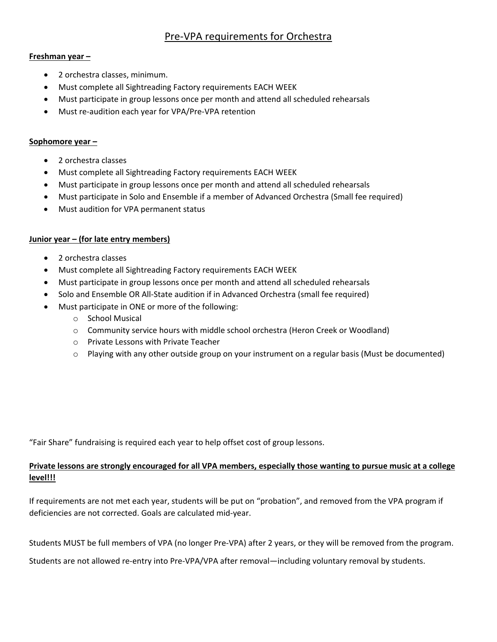## Pre-VPA requirements for Orchestra

### **Freshman year –**

- 2 orchestra classes, minimum.
- Must complete all Sightreading Factory requirements EACH WEEK
- Must participate in group lessons once per month and attend all scheduled rehearsals
- Must re-audition each year for VPA/Pre-VPA retention

### Sophomore year -

- 2 orchestra classes
- Must complete all Sightreading Factory requirements EACH WEEK
- Must participate in group lessons once per month and attend all scheduled rehearsals
- Must participate in Solo and Ensemble if a member of Advanced Orchestra (Small fee required)
- Must audition for VPA permanent status

## **Junior year – (for late entry members)**

- 2 orchestra classes
- Must complete all Sightreading Factory requirements EACH WEEK
- Must participate in group lessons once per month and attend all scheduled rehearsals
- Solo and Ensemble OR All-State audition if in Advanced Orchestra (small fee required)
- Must participate in ONE or more of the following:
	- o School Musical
	- o Community service hours with middle school orchestra (Heron Creek or Woodland)
	- o Private Lessons with Private Teacher
	- $\circ$  Playing with any other outside group on your instrument on a regular basis (Must be documented)

"Fair Share" fundraising is required each year to help offset cost of group lessons.

## **Private lessons are strongly encouraged for all VPA members, especially those wanting to pursue music at a college level!!!**

If requirements are not met each year, students will be put on "probation", and removed from the VPA program if deficiencies are not corrected. Goals are calculated mid-year.

Students MUST be full members of VPA (no longer Pre-VPA) after 2 years, or they will be removed from the program.

Students are not allowed re-entry into Pre-VPA/VPA after removal—including voluntary removal by students.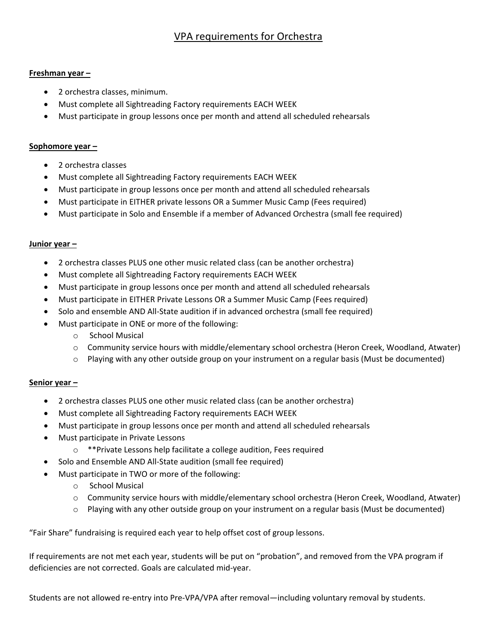# VPA requirements for Orchestra

### **Freshman year –**

- 2 orchestra classes, minimum.
- Must complete all Sightreading Factory requirements EACH WEEK
- Must participate in group lessons once per month and attend all scheduled rehearsals

### **Sophomore year –**

- 2 orchestra classes
- Must complete all Sightreading Factory requirements EACH WEEK
- Must participate in group lessons once per month and attend all scheduled rehearsals
- Must participate in EITHER private lessons OR a Summer Music Camp (Fees required)
- Must participate in Solo and Ensemble if a member of Advanced Orchestra (small fee required)

### Junior year –

- 2 orchestra classes PLUS one other music related class (can be another orchestra)
- Must complete all Sightreading Factory requirements EACH WEEK
- Must participate in group lessons once per month and attend all scheduled rehearsals
- Must participate in EITHER Private Lessons OR a Summer Music Camp (Fees required)
- Solo and ensemble AND All-State audition if in advanced orchestra (small fee required)
- Must participate in ONE or more of the following:
	- o School Musical
	- o Community service hours with middle/elementary school orchestra (Heron Creek, Woodland, Atwater)
	- $\circ$  Playing with any other outside group on your instrument on a regular basis (Must be documented)

## **Senior year –**

- 2 orchestra classes PLUS one other music related class (can be another orchestra)
- Must complete all Sightreading Factory requirements EACH WEEK
- Must participate in group lessons once per month and attend all scheduled rehearsals
- Must participate in Private Lessons
	- o \*\*Private Lessons help facilitate a college audition, Fees required
- Solo and Ensemble AND All-State audition (small fee required)
- Must participate in TWO or more of the following:
	- o School Musical
	- o Community service hours with middle/elementary school orchestra (Heron Creek, Woodland, Atwater)
	- $\circ$  Playing with any other outside group on your instrument on a regular basis (Must be documented)

"Fair Share" fundraising is required each year to help offset cost of group lessons.

If requirements are not met each year, students will be put on "probation", and removed from the VPA program if deficiencies are not corrected. Goals are calculated mid-year.

Students are not allowed re-entry into Pre-VPA/VPA after removal—including voluntary removal by students.